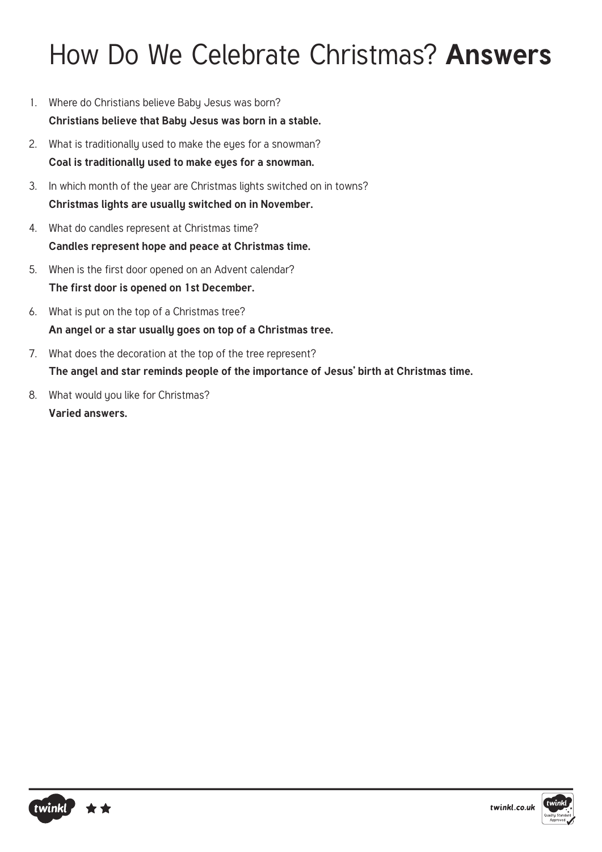### How Do We Celebrate Christmas? **Answers**

- 1. Where do Christians believe Baby Jesus was born? **Christians believe that Baby Jesus was born in a stable.**
- 2. What is traditionally used to make the eyes for a snowman? **Coal is traditionally used to make eyes for a snowman.**
- 3. In which month of the year are Christmas lights switched on in towns? **Christmas lights are usually switched on in November.**
- 4. What do candles represent at Christmas time? **Candles represent hope and peace at Christmas time.**
- 5. When is the first door opened on an Advent calendar? **The first door is opened on 1st December.**
- 6. What is put on the top of a Christmas tree? **An angel or a star usually goes on top of a Christmas tree.**
- 7. What does the decoration at the top of the tree represent? **The angel and star reminds people of the importance of Jesus' birth at Christmas time.**
- 8. What would you like for Christmas? **Varied answers.**



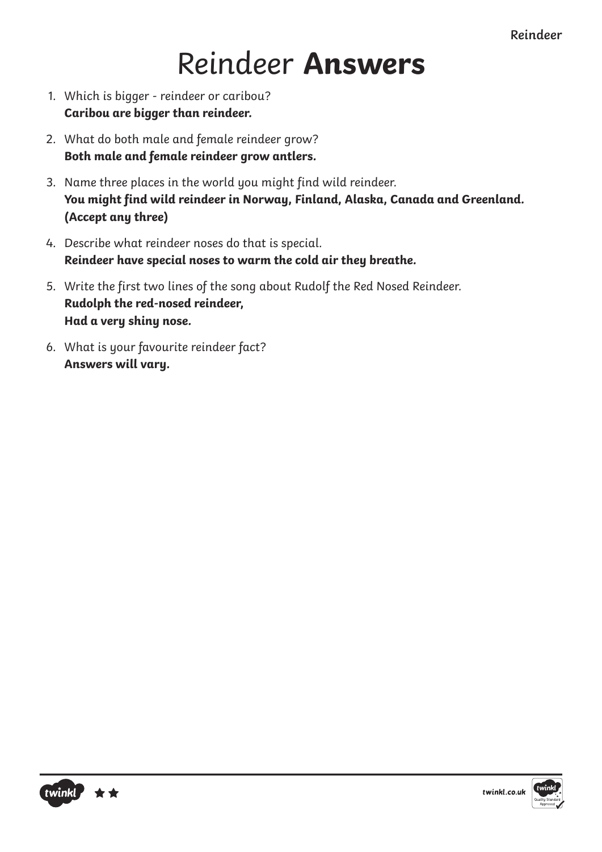**Reindeer**

## Reindeer **Answers**

- 1. Which is bigger reindeer or caribou? **Caribou are bigger than reindeer.**
- 2. What do both male and female reindeer grow? **Both male and female reindeer grow antlers.**
- 3. Name three places in the world you might find wild reindeer. You might find wild reindeer in Norway, Finland, Alaska, Canada and Greenland. **(Accept any three)**
- 4. Describe what reindeer noses do that is special. **Reindeer have special noses to warm the cold air they breathe.**
- 5. Write the first two lines of the song about Rudolf the Red Nosed Reindeer. **Rudolph the red-nosed reindeer, Had a very shiny nose.**
- 6. What is your favourite reindeer fact? **Answers will vary.**



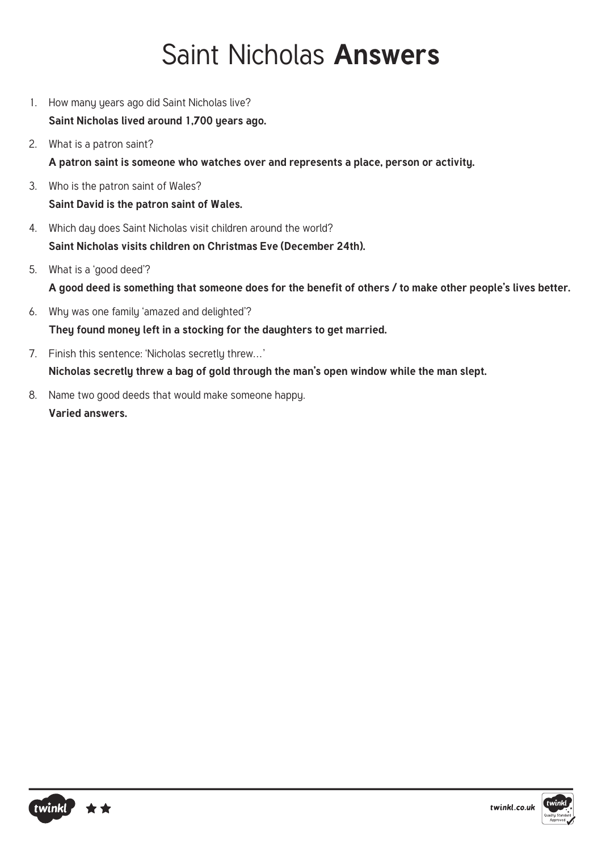### Saint Nicholas **Answers**

- 1. How many years ago did Saint Nicholas live? **Saint Nicholas lived around 1,700 years ago.**
- 2. What is a patron saint? **A patron saint is someone who watches over and represents a place, person or activity.**
- 3. Who is the patron saint of Wales? **Saint David is the patron saint of Wales.**
- 4. Which day does Saint Nicholas visit children around the world? **Saint Nicholas visits children on Christmas Eve (December 24th).**
- 5. What is a 'good deed'? **A good deed is something that someone does for the benefit of others / to make other people's lives better.**
- 6. Why was one family 'amazed and delighted'? **They found money left in a stocking for the daughters to get married.**
- 7. Finish this sentence: 'Nicholas secretly threw…' **Nicholas secretly threw a bag of gold through the man's open window while the man slept.**
- 8. Name two good deeds that would make someone happy. **Varied answers.**



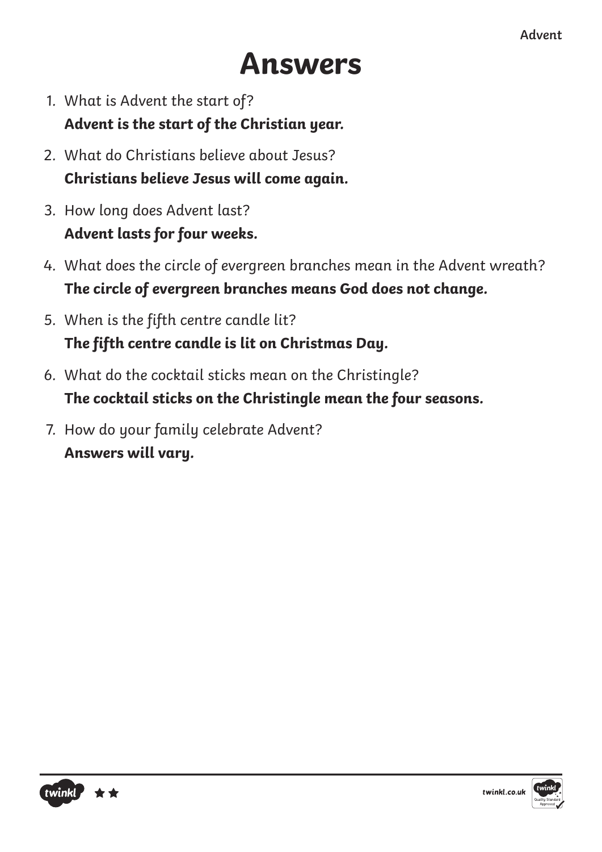# **Answers**

- 1. What is Advent the start of? **Advent is the start of the Christian year.**
- 2. What do Christians believe about Jesus? **Christians believe Jesus will come again.**
- 3. How long does Advent last? **Advent lasts for four weeks.**
- 4. What does the circle of evergreen branches mean in the Advent wreath? **The circle of evergreen branches means God does not change.**
- 5. When is the fifth centre candle lit? The fifth centre candle is lit on Christmas Day.
- 6. What do the cocktail sticks mean on the Christingle? **The cocktail sticks on the Christingle mean the four seasons.**
- 7. How do your family celebrate Advent? **Answers will vary.**